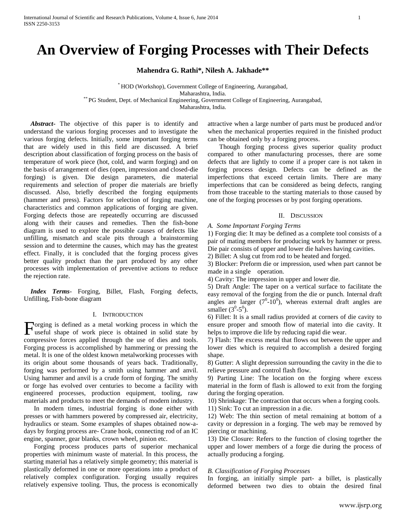# **An Overview of Forging Processes with Their Defects**

**Mahendra G. Rathi\*, Nilesh A. Jakhade\*\***

\* HOD (Workshop), Government College of Engineering, Aurangabad, Maharashtra, India. \*\* PG Student, Dept. of Mechanical Engineering, Government College of Engineering, Aurangabad, Maharashtra, India.

 *Abstract***-** The objective of this paper is to identify and understand the various forging processes and to investigate the various forging defects. Initially, some important forging terms that are widely used in this field are discussed. A brief description about classification of forging process on the basis of temperature of work piece (hot, cold, and warm forging) and on the basis of arrangement of dies (open, impression and closed-die forging) is given. Die design parameters, die material requirements and selection of proper die materials are briefly discussed. Also, briefly described the forging equipments (hammer and press). Factors for selection of forging machine, characteristics and common applications of forging are given. Forging defects those are repeatedly occurring are discussed along with their causes and remedies. Then the fish-bone diagram is used to explore the possible causes of defects like unfilling, mismatch and scale pits through a brainstorming session and to determine the causes, which may has the greatest effect. Finally, it is concluded that the forging process gives better quality product than the part produced by any other processes with implementation of preventive actions to reduce the rejection rate.

 *Index Terms*- Forging, Billet, Flash, Forging defects, Unfilling, Fish-bone diagram

#### I. INTRODUCTION

orging is defined as a metal working process in which the Forging is defined as a metal working process in which the useful shape of work piece is obtained in solid state by compressive forces applied through the use of dies and tools. Forging process is accomplished by hammering or pressing the metal. It is one of the oldest known metalworking processes with its origin about some thousands of years back. Traditionally, forging was performed by a smith using hammer and anvil. Using hammer and anvil is a crude form of forging. The smithy or forge has evolved over centuries to become a facility with engineered processes, production equipment, tooling, raw materials and products to meet the demands of modern industry.

 In modern times, industrial forging is done either with presses or with hammers powered by compressed air, electricity, hydraulics or steam. Some examples of shapes obtained now-adays by forging process are- Crane hook, connecting rod of an IC engine, spanner, gear blanks, crown wheel, pinion etc.

 Forging process produces parts of superior mechanical properties with minimum waste of material. In this process, the starting material has a relatively simple geometry; this material is plastically deformed in one or more operations into a product of relatively complex configuration. Forging usually requires relatively expensive tooling. Thus, the process is economically attractive when a large number of parts must be produced and/or when the mechanical properties required in the finished product can be obtained only by a forging process.

 Though forging process gives superior quality product compared to other manufacturing processes, there are some defects that are lightly to come if a proper care is not taken in forging process design. Defects can be defined as the imperfections that exceed certain limits. There are many imperfections that can be considered as being defects, ranging from those traceable to the starting materials to those caused by one of the forging processes or by post forging operations.

#### II. DISCUSSION

#### *A. Some Important Forging Terms*

1) Forging die: It may be defined as a complete tool consists of a pair of mating members for producing work by hammer or press. Die pair consists of upper and lower die halves having cavities.

2) Billet: A slug cut from rod to be heated and forged.

3) Blocker: Preform die or impression, used when part cannot be made in a single operation.

4) Cavity: The impression in upper and lower die.

5) Draft Angle: The taper on a vertical surface to facilitate the easy removal of the forging from the die or punch. Internal draft angles are larger  $(7^0 \text{-} 10^0)$ , whereas external draft angles are smaller  $(3^0-5^0)$ .

6) Fillet: It is a small radius provided at corners of die cavity to ensure proper and smooth flow of material into die cavity. It helps to improve die life by reducing rapid die wear.

7) Flash: The excess metal that flows out between the upper and lower dies which is required to accomplish a desired forging shape.

8) Gutter: A slight depression surrounding the cavity in the die to relieve pressure and control flash flow.

9) Parting Line: The location on the forging where excess material in the form of flash is allowed to exit from the forging during the forging operation.

10) Shrinkage: The contraction that occurs when a forging cools.

11) Sink: To cut an impression in a die.

12) Web: The thin section of metal remaining at bottom of a cavity or depression in a forging. The web may be removed by piercing or machining.

13) Die Closure: Refers to the function of closing together the upper and lower members of a forge die during the process of actually producing a forging.

#### *B. Classification of Forging Processes*

In forging, an initially simple part- a billet, is plastically deformed between two dies to obtain the desired final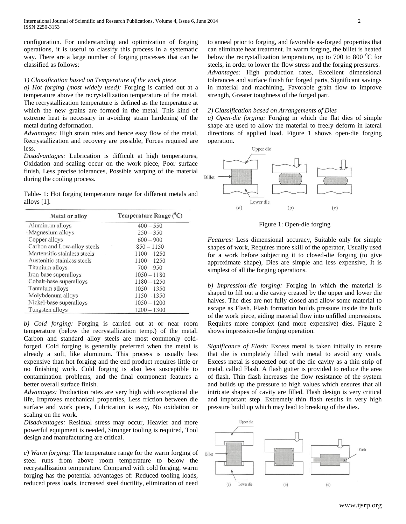configuration. For understanding and optimization of forging operations, it is useful to classify this process in a systematic way. There are a large number of forging processes that can be classified as follows:

## *1) Classification based on Temperature of the work piece*

*a) Hot forging (most widely used):* Forging is carried out at a temperature above the recrystallization temperature of the metal. The recrystallization temperature is defined as the temperature at which the new grains are formed in the metal. This kind of extreme heat is necessary in avoiding strain hardening of the metal during deformation.

*Advantages:* High strain rates and hence easy flow of the metal, Recrystallization and recovery are possible, Forces required are less.

*Disadvantages:* Lubrication is difficult at high temperatures, Oxidation and scaling occur on the work piece, Poor surface finish, Less precise tolerances, Possible warping of the material during the cooling process.

Table- 1: Hot forging temperature range for different metals and alloys [1].

| Metal or alloy               | Temperature Range $(^{0}C)$ |
|------------------------------|-----------------------------|
| Aluminum alloys              | $400 - 550$                 |
| • Magnesium alloys           | $250 - 350$                 |
| Copper alloys                | $600 - 900$                 |
| Carbon and Low-alloy steels  | $850 - 1150$                |
| Martensitic stainless steels | $1100 - 1250$               |
| Austenitic stainless steels  | $1100 - 1250$               |
| Titanium alloys              | $700 - 950$                 |
| Iron-base superalloys        | $1050 - 1180$               |
| Cobalt-base superalloys      | $1180 - 1250$               |
| Tantalum alloys              | $1050 - 1350$               |
| Molybdenum alloys            | $1150 - 1350$               |
| Nickel-base superalloys      | $1050 - 1200$               |
| Tungsten alloys              | $1200 - 1300$               |

*b) Cold forging:* Forging is carried out at or near room temperature (below the recrystallization temp.) of the metal. Carbon and standard alloy steels are most commonly coldforged. Cold forging is generally preferred when the metal is already a soft, like aluminum. This process is usually less expensive than hot forging and the end product requires little or no finishing work. Cold forging is also less susceptible to contamination problems, and the final component features a better overall surface finish.

*Advantages:* Production rates are very high with exceptional die life, Improves mechanical properties, Less friction between die surface and work piece, Lubrication is easy, No oxidation or scaling on the work.

*Disadvantages:* Residual stress may occur, Heavier and more powerful equipment is needed, Stronger tooling is required, Tool design and manufacturing are critical.

*c) Warm forging:* The temperature range for the warm forging of steel runs from above room temperature to below the recrystallization temperature. Compared with cold forging, warm forging has the potential advantages of: Reduced tooling loads, reduced press loads, increased steel ductility, elimination of need

to anneal prior to forging, and favorable as-forged properties that can eliminate heat treatment. In warm forging, the billet is heated below the recrystallization temperature, up to 700 to 800  $^{\circ}$ C for steels, in order to lower the flow stress and the forging pressures. *Advantages:* High production rates, Excellent dimensional tolerances and surface finish for forged parts, Significant savings in material and machining, Favorable grain flow to improve strength, Greater toughness of the forged part.

#### *2) Classification based on Arrangements of Dies*

*a) Open-die forging:* Forging in which the flat dies of simple shape are used to allow the material to freely deform in lateral directions of applied load. Figure 1 shows open-die forging operation.



Figure 1: Open-die forging

*Features:* Less dimensional accuracy, Suitable only for simple shapes of work, Requires more skill of the operator, Usually used for a work before subjecting it to closed-die forging (to give approximate shape), Dies are simple and less expensive, It is simplest of all the forging operations.

*b) Impression-die forging:* Forging in which the material is shaped to fill out a die cavity created by the upper and lower die halves. The dies are not fully closed and allow some material to escape as Flash. Flash formation builds pressure inside the bulk of the work piece, aiding material flow into unfilled impressions. Requires more complex (and more expensive) dies. Figure 2 shows impression-die forging operation.

*Significance of Flash:* Excess metal is taken initially to ensure that die is completely filled with metal to avoid any voids. Excess metal is squeezed out of the die cavity as a thin strip of metal, called Flash. A flash gutter is provided to reduce the area of flash. Thin flash increases the flow resistance of the system and builds up the pressure to high values which ensures that all intricate shapes of cavity are filled. Flash design is very critical and important step. Extremely thin flash results in very high pressure build up which may lead to breaking of the dies.

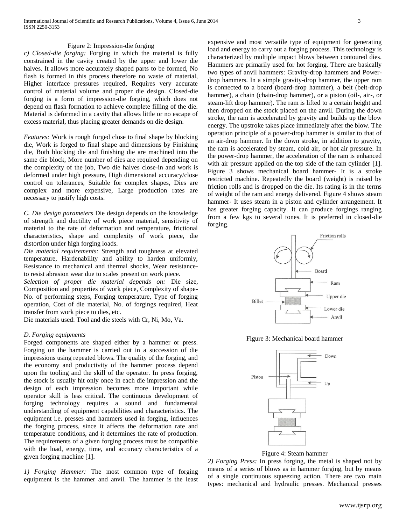#### Figure 2: Impression-die forging

*c) Closed-die forging:* Forging in which the material is fully constrained in the cavity created by the upper and lower die halves. It allows more accurately shaped parts to be formed, No flash is formed in this process therefore no waste of material, Higher interface pressures required, Requires very accurate control of material volume and proper die design. Closed-die forging is a form of impression-die forging, which does not depend on flash formation to achieve complete filling of the die. Material is deformed in a cavity that allows little or no escape of excess material, thus placing greater demands on die design.

*Features:* Work is rough forged close to final shape by blocking die, Work is forged to final shape and dimensions by Finishing die, Both blocking die and finishing die are machined into the same die block, More number of dies are required depending on the complexity of the job, Two die halves close-in and work is deformed under high pressure, High dimensional accuracy/close control on tolerances, Suitable for complex shapes, Dies are complex and more expensive, Large production rates are necessary to justify high costs.

*C. Die design parameters* Die design depends on the knowledge of strength and ductility of work piece material, sensitivity of material to the rate of deformation and temperature, frictional characteristics, shape and complexity of work piece, die distortion under high forging loads.

*Die material requirements:* Strength and toughness at elevated temperature, Hardenability and ability to harden uniformly, Resistance to mechanical and thermal shocks, Wear resistanceto resist abrasion wear due to scales present on work piece.

*Selection of proper die material depends on:* Die size, Composition and properties of work piece, Complexity of shape-No. of performing steps, Forging temperature, Type of forging operation, Cost of die material, No. of forgings required, Heat transfer from work piece to dies, etc.

Die materials used: Tool and die steels with Cr, Ni, Mo, Va.

## *D. Forging equipments*

Forged components are shaped either by a hammer or press. Forging on the hammer is carried out in a succession of die impressions using repeated blows. The quality of the forging, and the economy and productivity of the hammer process depend upon the tooling and the skill of the operator. In press forging, the stock is usually hit only once in each die impression and the design of each impression becomes more important while operator skill is less critical. The continuous development of forging technology requires a sound and fundamental understanding of equipment capabilities and characteristics. The equipment i.e. presses and hammers used in forging, influences the forging process, since it affects the deformation rate and temperature conditions, and it determines the rate of production. The requirements of a given forging process must be compatible with the load, energy, time, and accuracy characteristics of a given forging machine [1].

*1) Forging Hammer:* The most common type of forging equipment is the hammer and anvil. The hammer is the least expensive and most versatile type of equipment for generating load and energy to carry out a forging process. This technology is characterized by multiple impact blows between contoured dies. Hammers are primarily used for hot forging. There are basically two types of anvil hammers: Gravity-drop hammers and Powerdrop hammers. In a simple gravity-drop hammer, the upper ram is connected to a board (board-drop hammer), a belt (belt-drop hammer), a chain (chain-drop hammer), or a piston (oil-, air-, or steam-lift drop hammer). The ram is lifted to a certain height and then dropped on the stock placed on the anvil. During the down stroke, the ram is accelerated by gravity and builds up the blow energy. The upstroke takes place immediately after the blow. The operation principle of a power-drop hammer is similar to that of an air-drop hammer. In the down stroke, in addition to gravity, the ram is accelerated by steam, cold air, or hot air pressure. In the power-drop hammer, the acceleration of the ram is enhanced with air pressure applied on the top side of the ram cylinder [1]. Figure 3 shows mechanical board hammer- It is a stroke restricted machine. Repeatedly the board (weight) is raised by friction rolls and is dropped on the die. Its rating is in the terms of weight of the ram and energy delivered. Figure 4 shows steam hammer- It uses steam in a piston and cylinder arrangement. It has greater forging capacity. It can produce forgings ranging from a few kgs to several tones. It is preferred in closed-die forging.



Figure 3: Mechanical board hammer



Figure 4: Steam hammer

*2) Forging Press:* In press forging, the metal is shaped not by means of a series of blows as in hammer forging, but by means of a single continuous squeezing action. There are two main types: mechanical and hydraulic presses. Mechanical presses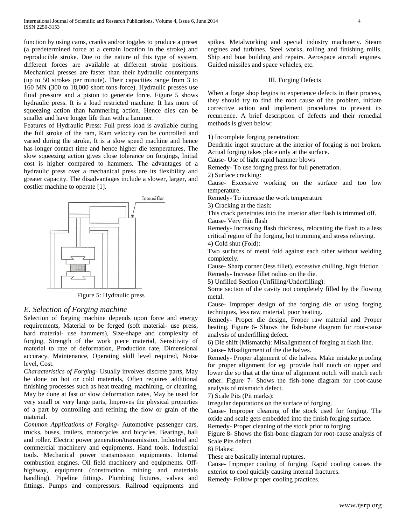function by using cams, cranks and/or toggles to produce a preset (a predetermined force at a certain location in the stroke) and reproducible stroke. Due to the nature of this type of system, different forces are available at different stroke positions. Mechanical presses are faster than their hydraulic counterparts (up to 50 strokes per minute). Their capacities range from 3 to 160 MN (300 to 18,000 short tons-force). Hydraulic presses use fluid pressure and a piston to generate force. Figure 5 shows hydraulic press. It is a load restricted machine. It has more of squeezing action than hammering action. Hence dies can be smaller and have longer life than with a hammer.

Features of Hydraulic Press: Full press load is available during the full stroke of the ram, Ram velocity can be controlled and varied during the stroke, It is a slow speed machine and hence has longer contact time and hence higher die temperatures, The slow squeezing action gives close tolerance on forgings, Initial cost is higher compared to hammers. The advantages of a hydraulic press over a mechanical press are its flexibility and greater capacity. The disadvantages include a slower, larger, and costlier machine to operate [1].



Figure 5: Hydraulic press

# *E. Selection of Forging machine*

Selection of forging machine depends upon force and energy requirements, Material to be forged (soft material- use press, hard material- use hammers), Size-shape and complexity of forging, Strength of the work piece material, Sensitivity of material to rate of deformation, Production rate, Dimensional accuracy, Maintenance, Operating skill level required, Noise level, Cost.

*Characteristics of Forging-* Usually involves discrete parts, May be done on hot or cold materials, Often requires additional finishing processes such as heat treating, machining, or cleaning, May be done at fast or slow deformation rates, May be used for very small or very large parts, Improves the physical properties of a part by controlling and refining the flow or grain of the material.

*Common Applications of Forging-* Automotive passenger cars, trucks, buses, trailers, motorcycles and bicycles. Bearings, ball and roller. Electric power generation/transmission. Industrial and commercial machinery and equipments. Hand tools. Industrial tools. Mechanical power transmission equipments. Internal combustion engines. Oil field machinery and equipments. Offhighway, equipment (construction, mining and materials handling). Pipeline fittings. Plumbing fixtures, valves and fittings. Pumps and compressors. Railroad equipments and

spikes. Metalworking and special industry machinery. Steam engines and turbines. Steel works, rolling and finishing mills. Ship and boat building and repairs. Aerospace aircraft engines. Guided missiles and space vehicles, etc.

## III. Forging Defects

When a forge shop begins to experience defects in their process, they should try to find the root cause of the problem, initiate corrective action and implement procedures to prevent its recurrence. A brief description of defects and their remedial methods is given below:

1) Incomplete forging penetration:

Dendritic ingot structure at the interior of forging is not broken. Actual forging takes place only at the surface.

Cause- Use of light rapid hammer blows

Remedy- To use forging press for full penetration.

2) Surface cracking:

Cause- Excessive working on the surface and too low temperature.

Remedy- To increase the work temperature

3) Cracking at the flash:

This crack penetrates into the interior after flash is trimmed off. Cause- Very thin flash

Remedy- Increasing flash thickness, relocating the flash to a less critical region of the forging, hot trimming and stress relieving. 4) Cold shut (Fold):

Two surfaces of metal fold against each other without welding completely.

Cause- Sharp corner (less fillet), excessive chilling, high friction Remedy- Increase fillet radius on the die.

5) Unfilled Section (Unfilling/Underfilling):

Some section of die cavity not completely filled by the flowing metal.

Cause- Improper design of the forging die or using forging techniques, less raw material, poor heating.

Remedy- Proper die design, Proper raw material and Proper heating. Figure 6- Shows the fish-bone diagram for root-cause analysis of underfilling defect.

6) Die shift (Mismatch): Misalignment of forging at flash line. Cause- Misalignment of the die halves.

Remedy- Proper alignment of die halves. Make mistake proofing for proper alignment for eg. provide half notch on upper and lower die so that at the time of alignment notch will match each other. Figure 7- Shows the fish-bone diagram for root-cause analysis of mismatch defect.

7) Scale Pits (Pit marks):

Irregular depurations on the surface of forging.

Cause- Improper cleaning of the stock used for forging. The oxide and scale gets embedded into the finish forging surface.

Remedy- Proper cleaning of the stock prior to forging.

Figure 8- Shows the fish-bone diagram for root-cause analysis of Scale Pits defect.

8) Flakes:

These are basically internal ruptures.

Cause- Improper cooling of forging. Rapid cooling causes the exterior to cool quickly causing internal fractures.

Remedy- Follow proper cooling practices.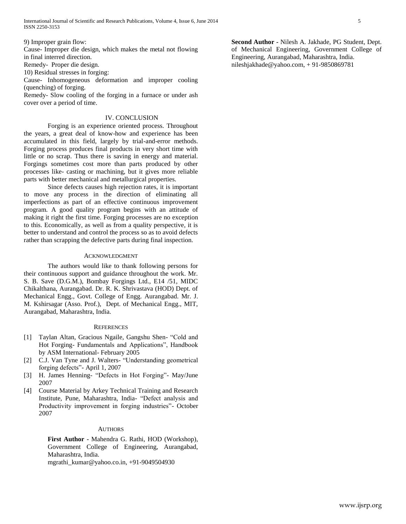9) Improper grain flow:

Cause- Improper die design, which makes the metal not flowing in final interred direction.

Remedy- Proper die design.

10) Residual stresses in forging:

Cause- Inhomogeneous deformation and improper cooling (quenching) of forging.

Remedy- Slow cooling of the forging in a furnace or under ash cover over a period of time.

## IV. CONCLUSION

Forging is an experience oriented process. Throughout the years, a great deal of know-how and experience has been accumulated in this field, largely by trial-and-error methods. Forging process produces final products in very short time with little or no scrap. Thus there is saving in energy and material. Forgings sometimes cost more than parts produced by other processes like- casting or machining, but it gives more reliable parts with better mechanical and metallurgical properties.

Since defects causes high rejection rates, it is important to move any process in the direction of eliminating all imperfections as part of an effective continuous improvement program. A good quality program begins with an attitude of making it right the first time. Forging processes are no exception to this. Economically, as well as from a quality perspective, it is better to understand and control the process so as to avoid defects rather than scrapping the defective parts during final inspection.

## ACKNOWLEDGMENT

The authors would like to thank following persons for their continuous support and guidance throughout the work. Mr. S. B. Save (D.G.M.), Bombay Forgings Ltd., E14 /51, MIDC Chikalthana, Aurangabad. Dr. R. K. Shrivastava (HOD) Dept. of Mechanical Engg., Govt. College of Engg. Aurangabad. Mr. J. M. Kshirsagar (Asso. Prof.), Dept. of Mechanical Engg., MIT, Aurangabad, Maharashtra, India.

## **REFERENCES**

- [1] Taylan Altan, Gracious Ngaile, Gangshu Shen- "Cold and Hot Forging- Fundamentals and Applications", Handbook by ASM International- February 2005
- [2] C.J. Van Tyne and J. Walters- "Understanding geometrical forging defects"- April 1, 2007
- [3] H. James Henning- "Defects in Hot Forging"- May/June 2007
- [4] Course Material by Arkey Technical Training and Research Institute, Pune, Maharashtra, India- "Defect analysis and Productivity improvement in forging industries"- October 2007

#### **AUTHORS**

**First Author -** Mahendra G. Rathi, HOD (Workshop), Government College of Engineering, Aurangabad, Maharashtra, India.

[mgrathi\\_kumar@yahoo.co.in,](mailto:mgrathi_kumar@yahoo.co.in) +91-9049504930

**Second Author -** Nilesh A. Jakhade, PG Student, Dept. of Mechanical Engineering, Government College of Engineering, Aurangabad, Maharashtra, India. [nileshjakhade@yahoo.com,](mailto:nileshjakhade@yahoo.com) + 91-9850869781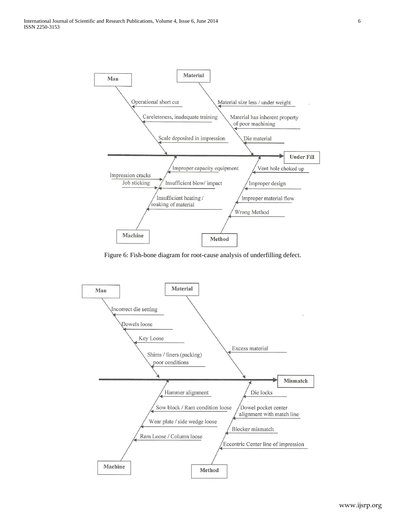

Figure 6: Fish-bone diagram for root-cause analysis of underfilling defect.